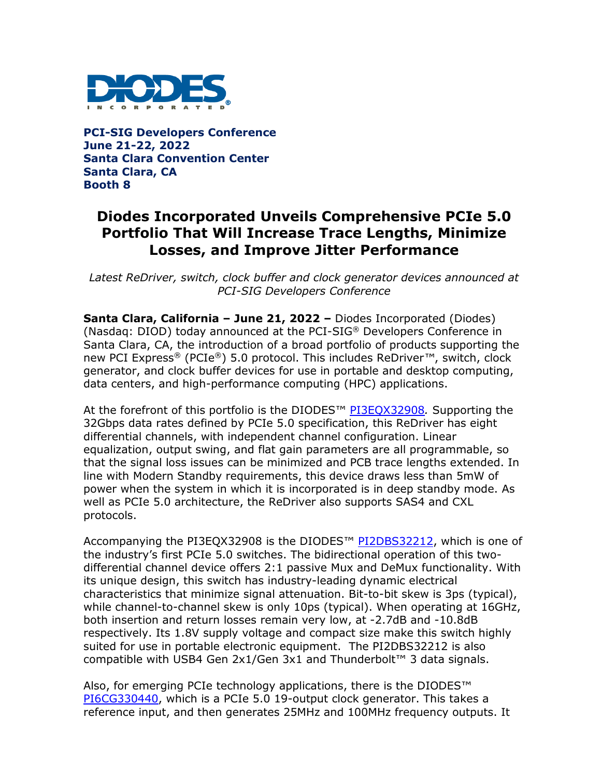

**PCI-SIG Developers Conference June 21-22, 2022 Santa Clara Convention Center Santa Clara, CA Booth 8**

# **Diodes Incorporated Unveils Comprehensive PCIe 5.0 Portfolio That Will Increase Trace Lengths, Minimize Losses, and Improve Jitter Performance**

*Latest ReDriver, switch, clock buffer and clock generator devices announced at PCI-SIG Developers Conference*

**Santa Clara, California – June 21, 2022 –** Diodes Incorporated (Diodes) (Nasdaq: DIOD) today announced at the PCI-SIG® Developers Conference in Santa Clara, CA, the introduction of a broad portfolio of products supporting the new PCI Express® (PCIe®) 5.0 protocol. This includes ReDriver*™*, switch, clock generator, and clock buffer devices for use in portable and desktop computing, data centers, and high-performance computing (HPC) applications.

At the forefront of this portfolio is the DIODES™ [PI3EQX32908](https://www.diodes.com/part/PI3EQX32908/)*.* Supporting the 32Gbps data rates defined by PCIe 5.0 specification, this ReDriver has eight differential channels, with independent channel configuration. Linear equalization, output swing, and flat gain parameters are all programmable, so that the signal loss issues can be minimized and PCB trace lengths extended. In line with Modern Standby requirements, this device draws less than 5mW of power when the system in which it is incorporated is in deep standby mode. As well as PCIe 5.0 architecture, the ReDriver also supports SAS4 and CXL protocols.

Accompanying the PI3EQX32908 is the DIODES<sup>™</sup> [PI2DBS32212,](https://www.diodes.com/part/PI2DBS32212/) which is one of the industry's first PCIe 5.0 switches. The bidirectional operation of this twodifferential channel device offers 2:1 passive Mux and DeMux functionality. With its unique design, this switch has industry-leading dynamic electrical characteristics that minimize signal attenuation. Bit-to-bit skew is 3ps (typical), while channel-to-channel skew is only 10ps (typical). When operating at 16GHz, both insertion and return losses remain very low, at -2.7dB and -10.8dB respectively. Its 1.8V supply voltage and compact size make this switch highly suited for use in portable electronic equipment. The PI2DBS32212 is also compatible with USB4 Gen 2x1/Gen 3x1 and Thunderbolt™ 3 data signals.

Also, for emerging PCIe technology applications, there is the DIODES™ [PI6CG330440,](https://www.diodes.com/part/PI6CG330440/) which is a PCIe 5.0 19-output clock generator. This takes a reference input, and then generates 25MHz and 100MHz frequency outputs. It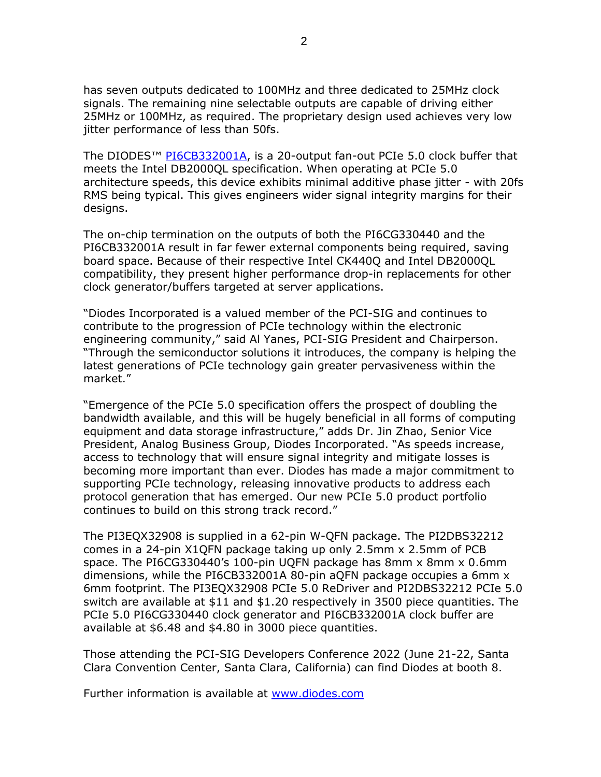has seven outputs dedicated to 100MHz and three dedicated to 25MHz clock signals. The remaining nine selectable outputs are capable of driving either 25MHz or 100MHz, as required. The proprietary design used achieves very low jitter performance of less than 50fs.

The DIODES<sup>™</sup> [PI6CB332001A,](https://www.diodes.com/part/PI6CB332001A/) is a 20-output fan-out PCIe 5.0 clock buffer that meets the Intel DB2000QL specification. When operating at PCIe 5.0 architecture speeds, this device exhibits minimal additive phase jitter - with 20fs RMS being typical. This gives engineers wider signal integrity margins for their designs.

The on-chip termination on the outputs of both the PI6CG330440 and the PI6CB332001A result in far fewer external components being required, saving board space. Because of their respective Intel CK440Q and Intel DB2000QL compatibility, they present higher performance drop-in replacements for other clock generator/buffers targeted at server applications.

"Diodes Incorporated is a valued member of the PCI-SIG and continues to contribute to the progression of PCIe technology within the electronic engineering community," said Al Yanes, PCI-SIG President and Chairperson. "Through the semiconductor solutions it introduces, the company is helping the latest generations of PCIe technology gain greater pervasiveness within the market."

"Emergence of the PCIe 5.0 specification offers the prospect of doubling the bandwidth available, and this will be hugely beneficial in all forms of computing equipment and data storage infrastructure," adds Dr. Jin Zhao, Senior Vice President, Analog Business Group, Diodes Incorporated. "As speeds increase, access to technology that will ensure signal integrity and mitigate losses is becoming more important than ever. Diodes has made a major commitment to supporting PCIe technology, releasing innovative products to address each protocol generation that has emerged. Our new PCIe 5.0 product portfolio continues to build on this strong track record."

The PI3EQX32908 is supplied in a 62-pin W-QFN package. The PI2DBS32212 comes in a 24-pin X1QFN package taking up only 2.5mm x 2.5mm of PCB space. The PI6CG330440's 100-pin UQFN package has 8mm x 8mm x 0.6mm dimensions, while the PI6CB332001A 80-pin aQFN package occupies a 6mm x 6mm footprint. The PI3EQX32908 PCIe 5.0 ReDriver and PI2DBS32212 PCIe 5.0 switch are available at \$11 and \$1.20 respectively in 3500 piece quantities. The PCIe 5.0 PI6CG330440 clock generator and PI6CB332001A clock buffer are available at \$6.48 and \$4.80 in 3000 piece quantities.

Those attending the PCI-SIG Developers Conference 2022 (June 21-22, Santa Clara Convention Center, Santa Clara, California) can find Diodes at booth 8.

Further information is available at [www.diodes.com](http://www.diodes.com/)